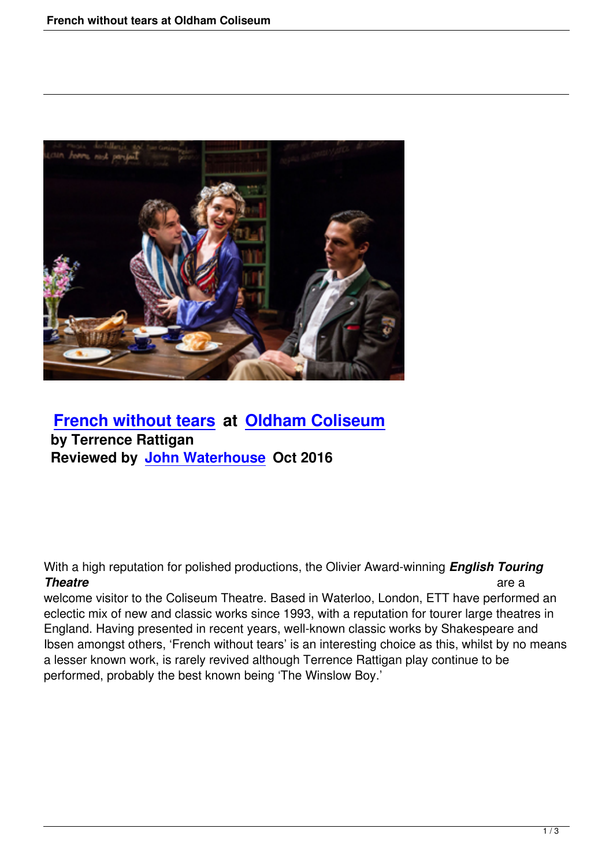

 **French without tears at Oldham Coliseum by Terrence Rattigan [Reviewed by John Wate](french-without-tears.html)rho[use Oct 2016](http://www.coliseum.org.uk/)**

With a high reputation for polished productions, the Olivier Award-winning *English Touring* **Theatre** are a set of the set of the set of the set of the set of the set of the set of the set of the set of the set of the set of the set of the set of the set of the set of the set of the set of the set of the set of t

welcome visitor to the Coliseum Theatre. Based in Waterloo, London, ETT have performed an eclectic mix of new and classic works since 1993, with a reputation for tourer large theatres in England. Having presented in recent years, well-known classic works by Shakespeare and Ibsen amongst others, 'French without tears' is an interesting choice as this, whilst by no means a lesser known work, is rarely revived although Terrence Rattigan play continue to be performed, probably the best known being 'The Winslow Boy.'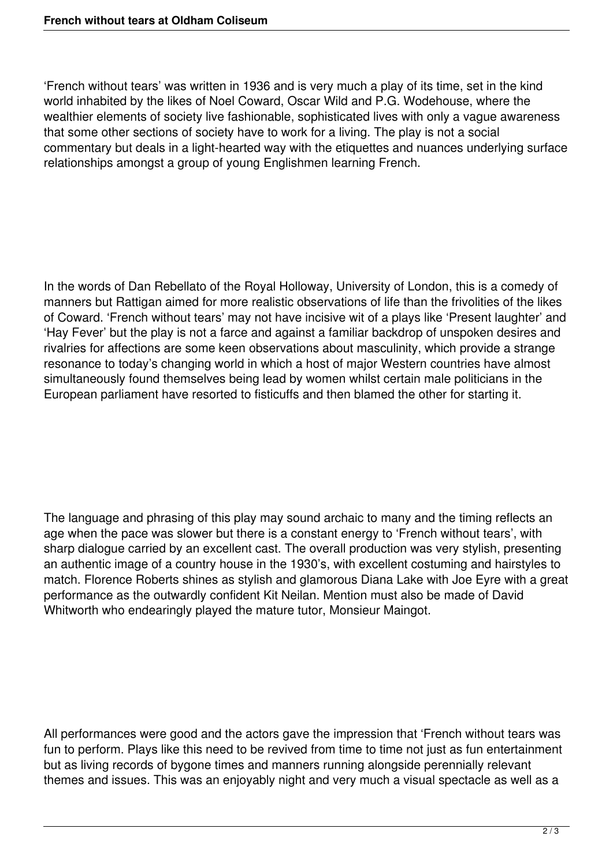'French without tears' was written in 1936 and is very much a play of its time, set in the kind world inhabited by the likes of Noel Coward, Oscar Wild and P.G. Wodehouse, where the wealthier elements of society live fashionable, sophisticated lives with only a vague awareness that some other sections of society have to work for a living. The play is not a social commentary but deals in a light-hearted way with the etiquettes and nuances underlying surface relationships amongst a group of young Englishmen learning French.

In the words of Dan Rebellato of the Royal Holloway, University of London, this is a comedy of manners but Rattigan aimed for more realistic observations of life than the frivolities of the likes of Coward. 'French without tears' may not have incisive wit of a plays like 'Present laughter' and 'Hay Fever' but the play is not a farce and against a familiar backdrop of unspoken desires and rivalries for affections are some keen observations about masculinity, which provide a strange resonance to today's changing world in which a host of major Western countries have almost simultaneously found themselves being lead by women whilst certain male politicians in the European parliament have resorted to fisticuffs and then blamed the other for starting it.

The language and phrasing of this play may sound archaic to many and the timing reflects an age when the pace was slower but there is a constant energy to 'French without tears', with sharp dialogue carried by an excellent cast. The overall production was very stylish, presenting an authentic image of a country house in the 1930's, with excellent costuming and hairstyles to match. Florence Roberts shines as stylish and glamorous Diana Lake with Joe Eyre with a great performance as the outwardly confident Kit Neilan. Mention must also be made of David Whitworth who endearingly played the mature tutor, Monsieur Maingot.

All performances were good and the actors gave the impression that 'French without tears was fun to perform. Plays like this need to be revived from time to time not just as fun entertainment but as living records of bygone times and manners running alongside perennially relevant themes and issues. This was an enjoyably night and very much a visual spectacle as well as a